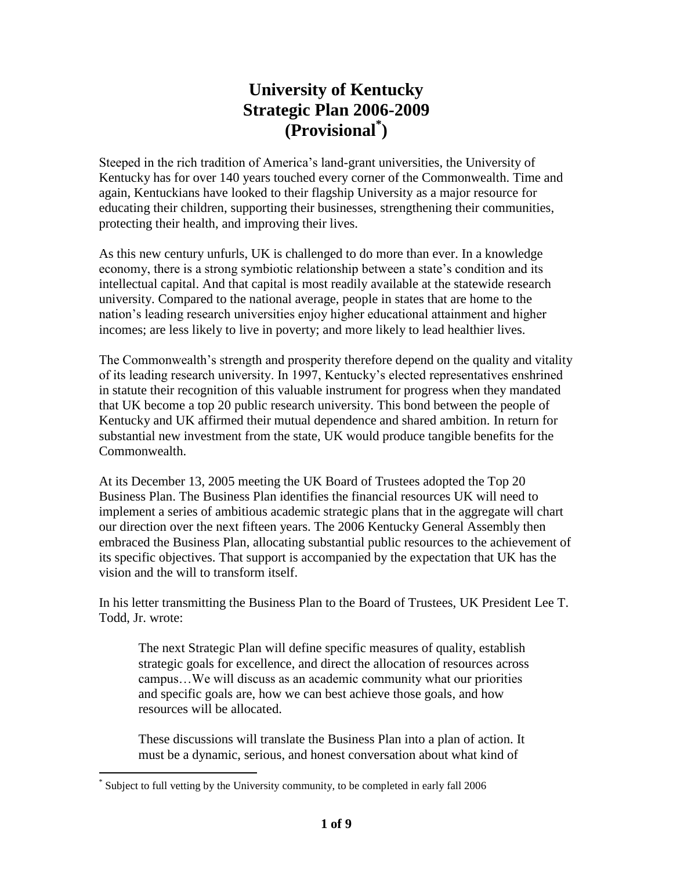# **University of Kentucky Strategic Plan 2006-2009 (Provisional\* )**

Steeped in the rich tradition of America's land-grant universities, the University of Kentucky has for over 140 years touched every corner of the Commonwealth. Time and again, Kentuckians have looked to their flagship University as a major resource for educating their children, supporting their businesses, strengthening their communities, protecting their health, and improving their lives.

As this new century unfurls, UK is challenged to do more than ever. In a knowledge economy, there is a strong symbiotic relationship between a state's condition and its intellectual capital. And that capital is most readily available at the statewide research university. Compared to the national average, people in states that are home to the nation's leading research universities enjoy higher educational attainment and higher incomes; are less likely to live in poverty; and more likely to lead healthier lives.

The Commonwealth's strength and prosperity therefore depend on the quality and vitality of its leading research university. In 1997, Kentucky's elected representatives enshrined in statute their recognition of this valuable instrument for progress when they mandated that UK become a top 20 public research university. This bond between the people of Kentucky and UK affirmed their mutual dependence and shared ambition. In return for substantial new investment from the state, UK would produce tangible benefits for the Commonwealth.

At its December 13, 2005 meeting the UK Board of Trustees adopted the Top 20 Business Plan. The Business Plan identifies the financial resources UK will need to implement a series of ambitious academic strategic plans that in the aggregate will chart our direction over the next fifteen years. The 2006 Kentucky General Assembly then embraced the Business Plan, allocating substantial public resources to the achievement of its specific objectives. That support is accompanied by the expectation that UK has the vision and the will to transform itself.

In his letter transmitting the Business Plan to the Board of Trustees, UK President Lee T. Todd, Jr. wrote:

The next Strategic Plan will define specific measures of quality, establish strategic goals for excellence, and direct the allocation of resources across campus…We will discuss as an academic community what our priorities and specific goals are, how we can best achieve those goals, and how resources will be allocated.

These discussions will translate the Business Plan into a plan of action. It must be a dynamic, serious, and honest conversation about what kind of

 $\overline{a}$ 

<sup>\*</sup> Subject to full vetting by the University community, to be completed in early fall 2006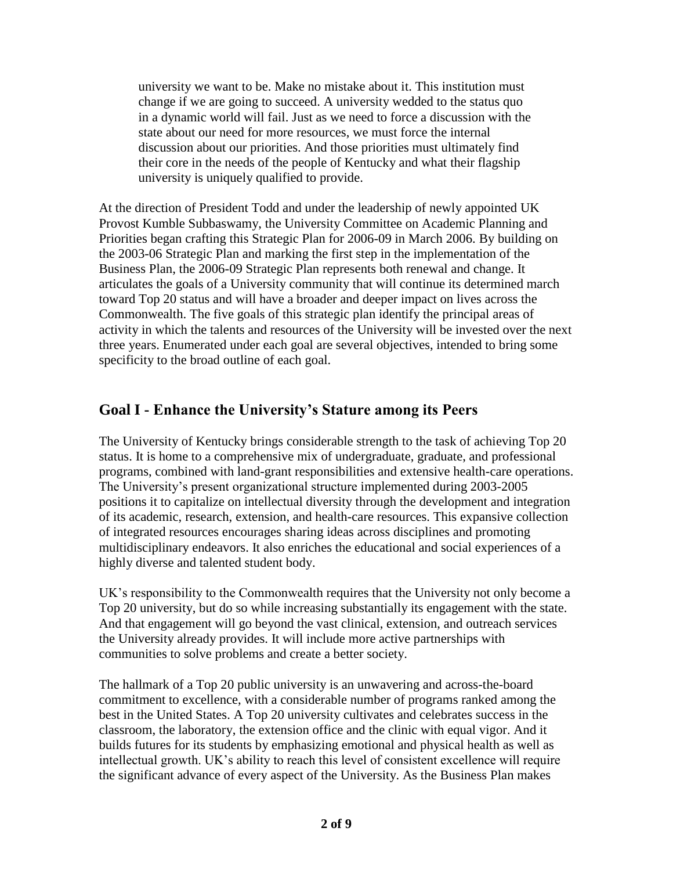university we want to be. Make no mistake about it. This institution must change if we are going to succeed. A university wedded to the status quo in a dynamic world will fail. Just as we need to force a discussion with the state about our need for more resources, we must force the internal discussion about our priorities. And those priorities must ultimately find their core in the needs of the people of Kentucky and what their flagship university is uniquely qualified to provide.

At the direction of President Todd and under the leadership of newly appointed UK Provost Kumble Subbaswamy, the University Committee on Academic Planning and Priorities began crafting this Strategic Plan for 2006-09 in March 2006. By building on the 2003-06 Strategic Plan and marking the first step in the implementation of the Business Plan, the 2006-09 Strategic Plan represents both renewal and change. It articulates the goals of a University community that will continue its determined march toward Top 20 status and will have a broader and deeper impact on lives across the Commonwealth. The five goals of this strategic plan identify the principal areas of activity in which the talents and resources of the University will be invested over the next three years. Enumerated under each goal are several objectives, intended to bring some specificity to the broad outline of each goal.

### **Goal I - Enhance the University's Stature among its Peers**

The University of Kentucky brings considerable strength to the task of achieving Top 20 status. It is home to a comprehensive mix of undergraduate, graduate, and professional programs, combined with land-grant responsibilities and extensive health-care operations. The University's present organizational structure implemented during 2003-2005 positions it to capitalize on intellectual diversity through the development and integration of its academic, research, extension, and health-care resources. This expansive collection of integrated resources encourages sharing ideas across disciplines and promoting multidisciplinary endeavors. It also enriches the educational and social experiences of a highly diverse and talented student body.

UK's responsibility to the Commonwealth requires that the University not only become a Top 20 university, but do so while increasing substantially its engagement with the state. And that engagement will go beyond the vast clinical, extension, and outreach services the University already provides. It will include more active partnerships with communities to solve problems and create a better society.

The hallmark of a Top 20 public university is an unwavering and across-the-board commitment to excellence, with a considerable number of programs ranked among the best in the United States. A Top 20 university cultivates and celebrates success in the classroom, the laboratory, the extension office and the clinic with equal vigor. And it builds futures for its students by emphasizing emotional and physical health as well as intellectual growth. UK's ability to reach this level of consistent excellence will require the significant advance of every aspect of the University. As the Business Plan makes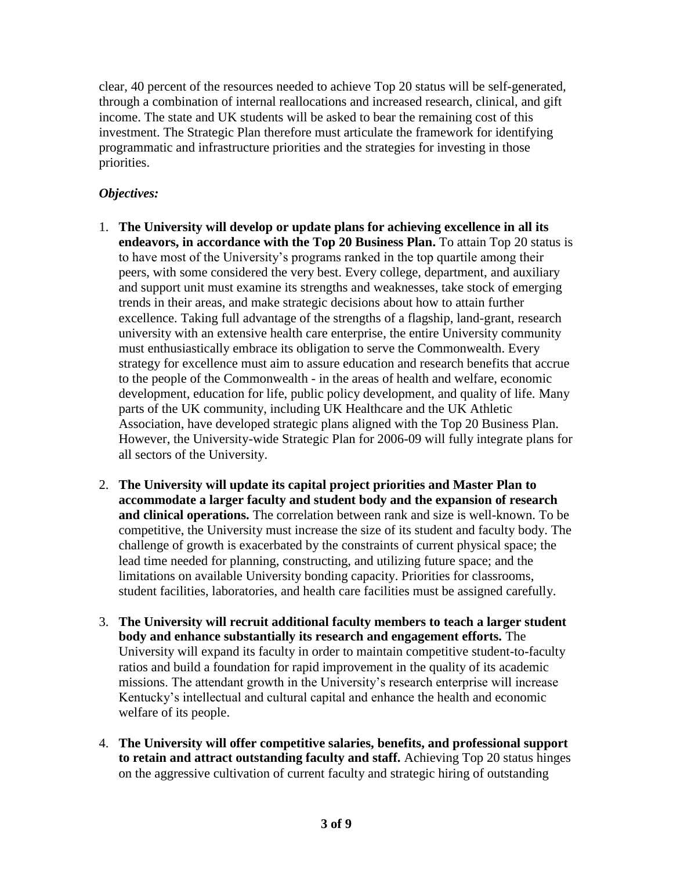clear, 40 percent of the resources needed to achieve Top 20 status will be self-generated, through a combination of internal reallocations and increased research, clinical, and gift income. The state and UK students will be asked to bear the remaining cost of this investment. The Strategic Plan therefore must articulate the framework for identifying programmatic and infrastructure priorities and the strategies for investing in those priorities.

- 1. **The University will develop or update plans for achieving excellence in all its endeavors, in accordance with the Top 20 Business Plan.** To attain Top 20 status is to have most of the University's programs ranked in the top quartile among their peers, with some considered the very best. Every college, department, and auxiliary and support unit must examine its strengths and weaknesses, take stock of emerging trends in their areas, and make strategic decisions about how to attain further excellence. Taking full advantage of the strengths of a flagship, land-grant, research university with an extensive health care enterprise, the entire University community must enthusiastically embrace its obligation to serve the Commonwealth. Every strategy for excellence must aim to assure education and research benefits that accrue to the people of the Commonwealth - in the areas of health and welfare, economic development, education for life, public policy development, and quality of life. Many parts of the UK community, including UK Healthcare and the UK Athletic Association, have developed strategic plans aligned with the Top 20 Business Plan. However, the University-wide Strategic Plan for 2006-09 will fully integrate plans for all sectors of the University.
- 2. **The University will update its capital project priorities and Master Plan to accommodate a larger faculty and student body and the expansion of research and clinical operations.** The correlation between rank and size is well-known. To be competitive, the University must increase the size of its student and faculty body. The challenge of growth is exacerbated by the constraints of current physical space; the lead time needed for planning, constructing, and utilizing future space; and the limitations on available University bonding capacity. Priorities for classrooms, student facilities, laboratories, and health care facilities must be assigned carefully.
- 3. **The University will recruit additional faculty members to teach a larger student body and enhance substantially its research and engagement efforts.** The University will expand its faculty in order to maintain competitive student-to-faculty ratios and build a foundation for rapid improvement in the quality of its academic missions. The attendant growth in the University's research enterprise will increase Kentucky's intellectual and cultural capital and enhance the health and economic welfare of its people.
- 4. **The University will offer competitive salaries, benefits, and professional support to retain and attract outstanding faculty and staff.** Achieving Top 20 status hinges on the aggressive cultivation of current faculty and strategic hiring of outstanding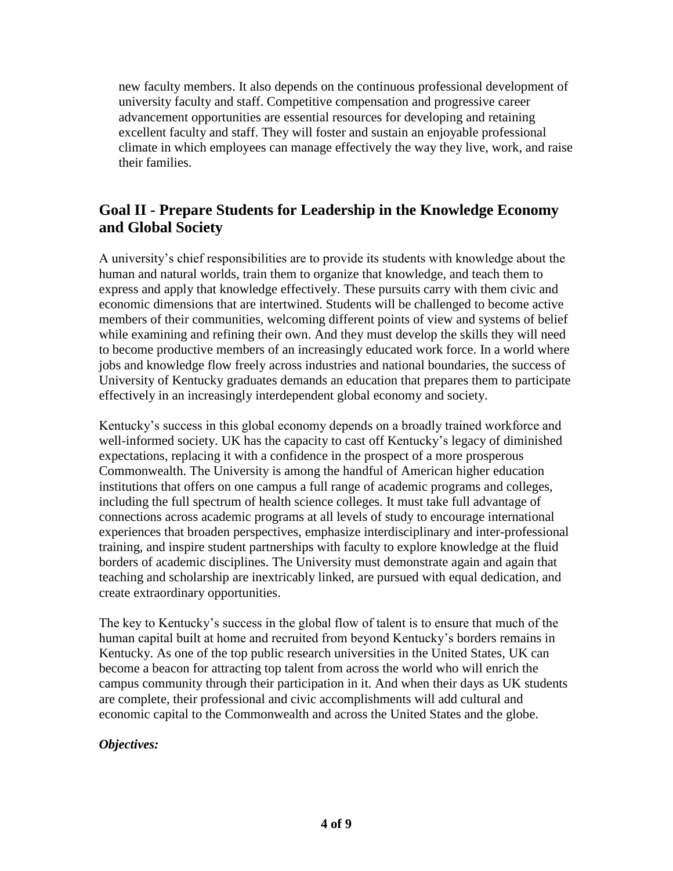new faculty members. It also depends on the continuous professional development of university faculty and staff. Competitive compensation and progressive career advancement opportunities are essential resources for developing and retaining excellent faculty and staff. They will foster and sustain an enjoyable professional climate in which employees can manage effectively the way they live, work, and raise their families.

## **Goal II - Prepare Students for Leadership in the Knowledge Economy and Global Society**

A university's chief responsibilities are to provide its students with knowledge about the human and natural worlds, train them to organize that knowledge, and teach them to express and apply that knowledge effectively. These pursuits carry with them civic and economic dimensions that are intertwined. Students will be challenged to become active members of their communities, welcoming different points of view and systems of belief while examining and refining their own. And they must develop the skills they will need to become productive members of an increasingly educated work force. In a world where jobs and knowledge flow freely across industries and national boundaries, the success of University of Kentucky graduates demands an education that prepares them to participate effectively in an increasingly interdependent global economy and society.

Kentucky's success in this global economy depends on a broadly trained workforce and well-informed society. UK has the capacity to cast off Kentucky's legacy of diminished expectations, replacing it with a confidence in the prospect of a more prosperous Commonwealth. The University is among the handful of American higher education institutions that offers on one campus a full range of academic programs and colleges, including the full spectrum of health science colleges. It must take full advantage of connections across academic programs at all levels of study to encourage international experiences that broaden perspectives, emphasize interdisciplinary and inter-professional training, and inspire student partnerships with faculty to explore knowledge at the fluid borders of academic disciplines. The University must demonstrate again and again that teaching and scholarship are inextricably linked, are pursued with equal dedication, and create extraordinary opportunities.

The key to Kentucky's success in the global flow of talent is to ensure that much of the human capital built at home and recruited from beyond Kentucky's borders remains in Kentucky. As one of the top public research universities in the United States, UK can become a beacon for attracting top talent from across the world who will enrich the campus community through their participation in it. And when their days as UK students are complete, their professional and civic accomplishments will add cultural and economic capital to the Commonwealth and across the United States and the globe.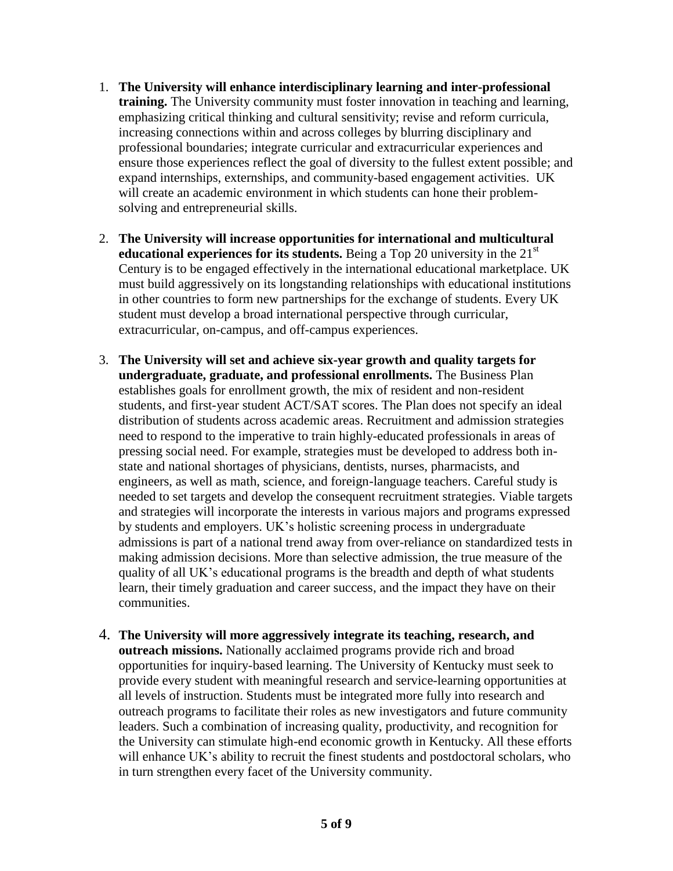- 1. **The University will enhance interdisciplinary learning and inter-professional training.** The University community must foster innovation in teaching and learning, emphasizing critical thinking and cultural sensitivity; revise and reform curricula, increasing connections within and across colleges by blurring disciplinary and professional boundaries; integrate curricular and extracurricular experiences and ensure those experiences reflect the goal of diversity to the fullest extent possible; and expand internships, externships, and community-based engagement activities. UK will create an academic environment in which students can hone their problemsolving and entrepreneurial skills.
- 2. **The University will increase opportunities for international and multicultural educational experiences for its students.** Being a Top 20 university in the 21<sup>st</sup> Century is to be engaged effectively in the international educational marketplace. UK must build aggressively on its longstanding relationships with educational institutions in other countries to form new partnerships for the exchange of students. Every UK student must develop a broad international perspective through curricular, extracurricular, on-campus, and off-campus experiences.
- 3. **The University will set and achieve six-year growth and quality targets for undergraduate, graduate, and professional enrollments.** The Business Plan establishes goals for enrollment growth, the mix of resident and non-resident students, and first-year student ACT/SAT scores. The Plan does not specify an ideal distribution of students across academic areas. Recruitment and admission strategies need to respond to the imperative to train highly-educated professionals in areas of pressing social need. For example, strategies must be developed to address both instate and national shortages of physicians, dentists, nurses, pharmacists, and engineers, as well as math, science, and foreign-language teachers. Careful study is needed to set targets and develop the consequent recruitment strategies. Viable targets and strategies will incorporate the interests in various majors and programs expressed by students and employers. UK's holistic screening process in undergraduate admissions is part of a national trend away from over-reliance on standardized tests in making admission decisions. More than selective admission, the true measure of the quality of all UK's educational programs is the breadth and depth of what students learn, their timely graduation and career success, and the impact they have on their communities.
- 4. **The University will more aggressively integrate its teaching, research, and outreach missions.** Nationally acclaimed programs provide rich and broad opportunities for inquiry-based learning. The University of Kentucky must seek to provide every student with meaningful research and service-learning opportunities at all levels of instruction. Students must be integrated more fully into research and outreach programs to facilitate their roles as new investigators and future community leaders. Such a combination of increasing quality, productivity, and recognition for the University can stimulate high-end economic growth in Kentucky. All these efforts will enhance UK's ability to recruit the finest students and postdoctoral scholars, who in turn strengthen every facet of the University community.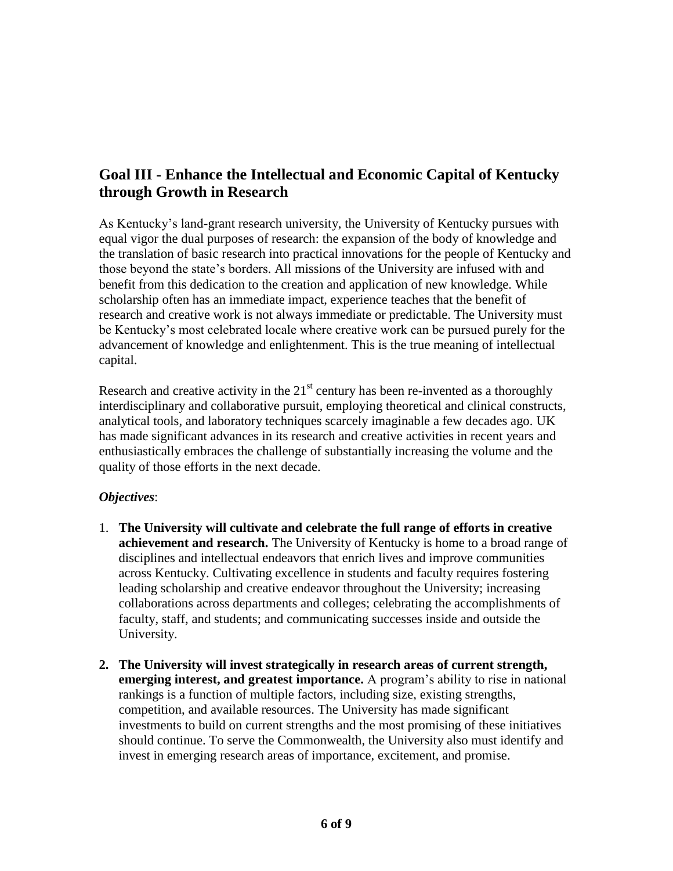# **Goal III - Enhance the Intellectual and Economic Capital of Kentucky through Growth in Research**

As Kentucky's land-grant research university, the University of Kentucky pursues with equal vigor the dual purposes of research: the expansion of the body of knowledge and the translation of basic research into practical innovations for the people of Kentucky and those beyond the state's borders. All missions of the University are infused with and benefit from this dedication to the creation and application of new knowledge. While scholarship often has an immediate impact, experience teaches that the benefit of research and creative work is not always immediate or predictable. The University must be Kentucky's most celebrated locale where creative work can be pursued purely for the advancement of knowledge and enlightenment. This is the true meaning of intellectual capital.

Research and creative activity in the  $21<sup>st</sup>$  century has been re-invented as a thoroughly interdisciplinary and collaborative pursuit, employing theoretical and clinical constructs, analytical tools, and laboratory techniques scarcely imaginable a few decades ago. UK has made significant advances in its research and creative activities in recent years and enthusiastically embraces the challenge of substantially increasing the volume and the quality of those efforts in the next decade.

- 1. **The University will cultivate and celebrate the full range of efforts in creative achievement and research.** The University of Kentucky is home to a broad range of disciplines and intellectual endeavors that enrich lives and improve communities across Kentucky. Cultivating excellence in students and faculty requires fostering leading scholarship and creative endeavor throughout the University; increasing collaborations across departments and colleges; celebrating the accomplishments of faculty, staff, and students; and communicating successes inside and outside the University.
- **2. The University will invest strategically in research areas of current strength, emerging interest, and greatest importance.** A program's ability to rise in national rankings is a function of multiple factors, including size, existing strengths, competition, and available resources. The University has made significant investments to build on current strengths and the most promising of these initiatives should continue. To serve the Commonwealth, the University also must identify and invest in emerging research areas of importance, excitement, and promise.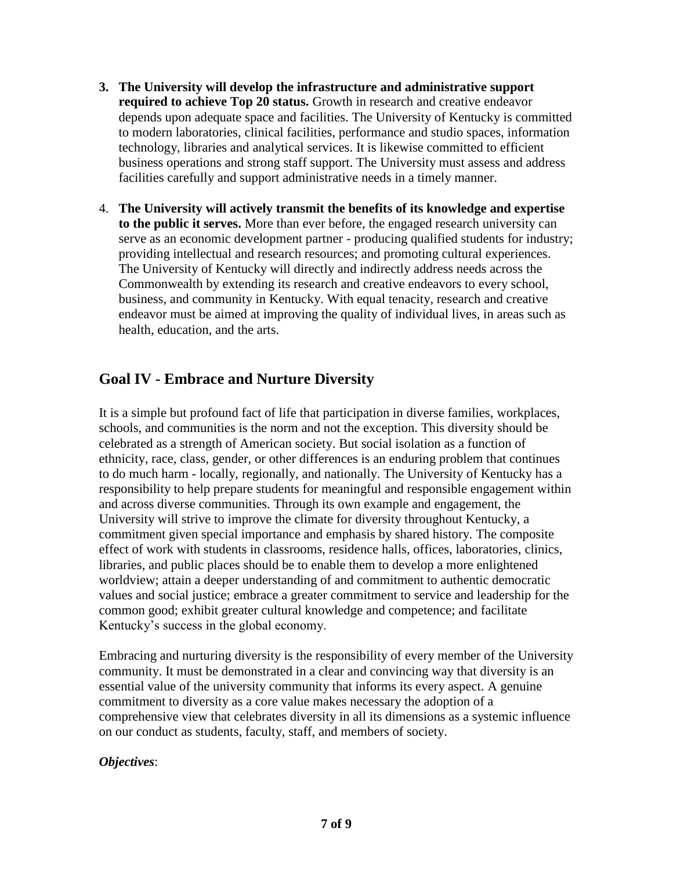- **3. The University will develop the infrastructure and administrative support required to achieve Top 20 status.** Growth in research and creative endeavor depends upon adequate space and facilities. The University of Kentucky is committed to modern laboratories, clinical facilities, performance and studio spaces, information technology, libraries and analytical services. It is likewise committed to efficient business operations and strong staff support. The University must assess and address facilities carefully and support administrative needs in a timely manner.
- 4. **The University will actively transmit the benefits of its knowledge and expertise to the public it serves.** More than ever before, the engaged research university can serve as an economic development partner - producing qualified students for industry; providing intellectual and research resources; and promoting cultural experiences. The University of Kentucky will directly and indirectly address needs across the Commonwealth by extending its research and creative endeavors to every school, business, and community in Kentucky. With equal tenacity, research and creative endeavor must be aimed at improving the quality of individual lives, in areas such as health, education, and the arts.

# **Goal IV - Embrace and Nurture Diversity**

It is a simple but profound fact of life that participation in diverse families, workplaces, schools, and communities is the norm and not the exception. This diversity should be celebrated as a strength of American society. But social isolation as a function of ethnicity, race, class, gender, or other differences is an enduring problem that continues to do much harm - locally, regionally, and nationally. The University of Kentucky has a responsibility to help prepare students for meaningful and responsible engagement within and across diverse communities. Through its own example and engagement, the University will strive to improve the climate for diversity throughout Kentucky, a commitment given special importance and emphasis by shared history. The composite effect of work with students in classrooms, residence halls, offices, laboratories, clinics, libraries, and public places should be to enable them to develop a more enlightened worldview; attain a deeper understanding of and commitment to authentic democratic values and social justice; embrace a greater commitment to service and leadership for the common good; exhibit greater cultural knowledge and competence; and facilitate Kentucky's success in the global economy.

Embracing and nurturing diversity is the responsibility of every member of the University community. It must be demonstrated in a clear and convincing way that diversity is an essential value of the university community that informs its every aspect. A genuine commitment to diversity as a core value makes necessary the adoption of a comprehensive view that celebrates diversity in all its dimensions as a systemic influence on our conduct as students, faculty, staff, and members of society.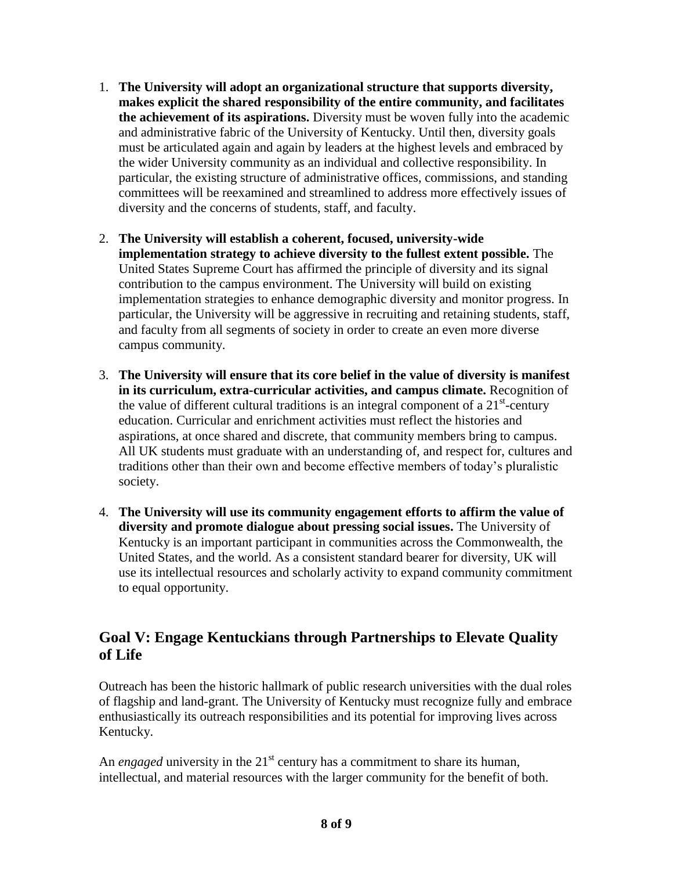- 1. **The University will adopt an organizational structure that supports diversity, makes explicit the shared responsibility of the entire community, and facilitates the achievement of its aspirations.** Diversity must be woven fully into the academic and administrative fabric of the University of Kentucky. Until then, diversity goals must be articulated again and again by leaders at the highest levels and embraced by the wider University community as an individual and collective responsibility. In particular, the existing structure of administrative offices, commissions, and standing committees will be reexamined and streamlined to address more effectively issues of diversity and the concerns of students, staff, and faculty.
- 2. **The University will establish a coherent, focused, university-wide implementation strategy to achieve diversity to the fullest extent possible.** The United States Supreme Court has affirmed the principle of diversity and its signal contribution to the campus environment. The University will build on existing implementation strategies to enhance demographic diversity and monitor progress. In particular, the University will be aggressive in recruiting and retaining students, staff, and faculty from all segments of society in order to create an even more diverse campus community.
- 3. **The University will ensure that its core belief in the value of diversity is manifest in its curriculum, extra-curricular activities, and campus climate.** Recognition of the value of different cultural traditions is an integral component of a  $21<sup>st</sup>$ -century education. Curricular and enrichment activities must reflect the histories and aspirations, at once shared and discrete, that community members bring to campus. All UK students must graduate with an understanding of, and respect for, cultures and traditions other than their own and become effective members of today's pluralistic society.
- 4. **The University will use its community engagement efforts to affirm the value of diversity and promote dialogue about pressing social issues.** The University of Kentucky is an important participant in communities across the Commonwealth, the United States, and the world. As a consistent standard bearer for diversity, UK will use its intellectual resources and scholarly activity to expand community commitment to equal opportunity.

### **Goal V: Engage Kentuckians through Partnerships to Elevate Quality of Life**

Outreach has been the historic hallmark of public research universities with the dual roles of flagship and land-grant. The University of Kentucky must recognize fully and embrace enthusiastically its outreach responsibilities and its potential for improving lives across Kentucky.

An *engaged* university in the  $21^{st}$  century has a commitment to share its human, intellectual, and material resources with the larger community for the benefit of both.